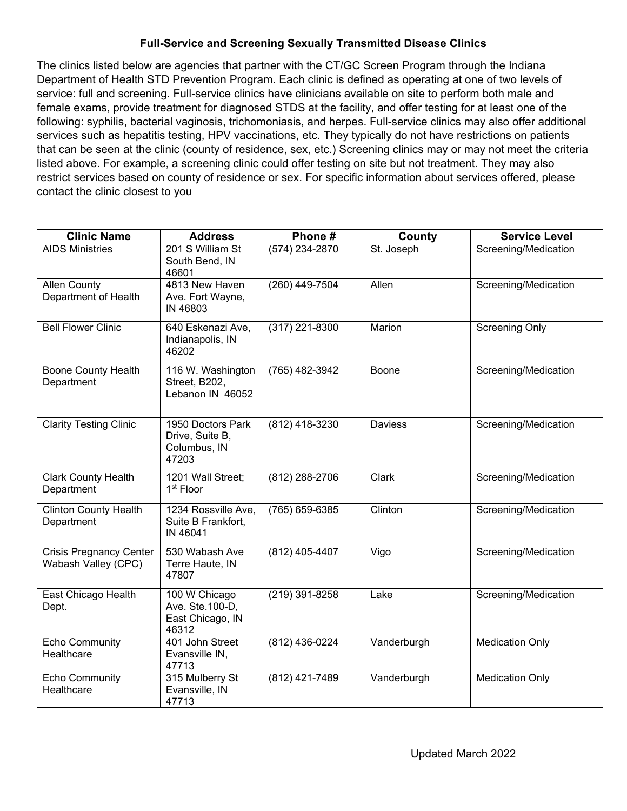## **Full-Service and Screening Sexually Transmitted Disease Clinics**

The clinics listed below are agencies that partner with the CT/GC Screen Program through the Indiana Department of Health STD Prevention Program. Each clinic is defined as operating at one of two levels of service: full and screening. Full-service clinics have clinicians available on site to perform both male and female exams, provide treatment for diagnosed STDS at the facility, and offer testing for at least one of the following: syphilis, bacterial vaginosis, trichomoniasis, and herpes. Full-service clinics may also offer additional services such as hepatitis testing, HPV vaccinations, etc. They typically do not have restrictions on patients that can be seen at the clinic (county of residence, sex, etc.) Screening clinics may or may not meet the criteria listed above. For example, a screening clinic could offer testing on site but not treatment. They may also restrict services based on county of residence or sex. For specific information about services offered, please contact the clinic closest to you

| <b>Clinic Name</b>                                    | <b>Address</b>                                                 | Phone#           | County      | <b>Service Level</b>   |
|-------------------------------------------------------|----------------------------------------------------------------|------------------|-------------|------------------------|
| <b>AIDS Ministries</b>                                | 201 S William St<br>South Bend, IN<br>46601                    | $(574)$ 234-2870 | St. Joseph  | Screening/Medication   |
| <b>Allen County</b><br>Department of Health           | 4813 New Haven<br>Ave. Fort Wayne,<br>IN 46803                 | (260) 449-7504   | Allen       | Screening/Medication   |
| <b>Bell Flower Clinic</b>                             | 640 Eskenazi Ave,<br>Indianapolis, IN<br>46202                 | (317) 221-8300   | Marion      | <b>Screening Only</b>  |
| <b>Boone County Health</b><br>Department              | 116 W. Washington<br>Street, B202,<br>Lebanon IN 46052         | (765) 482-3942   | Boone       | Screening/Medication   |
| <b>Clarity Testing Clinic</b>                         | 1950 Doctors Park<br>Drive, Suite B,<br>Columbus, IN<br>47203  | (812) 418-3230   | Daviess     | Screening/Medication   |
| <b>Clark County Health</b><br>Department              | 1201 Wall Street;<br>1 <sup>st</sup> Floor                     | (812) 288-2706   | Clark       | Screening/Medication   |
| <b>Clinton County Health</b><br>Department            | 1234 Rossville Ave,<br>Suite B Frankfort,<br>IN 46041          | (765) 659-6385   | Clinton     | Screening/Medication   |
| <b>Crisis Pregnancy Center</b><br>Wabash Valley (CPC) | 530 Wabash Ave<br>Terre Haute, IN<br>47807                     | (812) 405-4407   | Vigo        | Screening/Medication   |
| East Chicago Health<br>Dept.                          | 100 W Chicago<br>Ave. Ste. 100-D,<br>East Chicago, IN<br>46312 | (219) 391-8258   | Lake        | Screening/Medication   |
| <b>Echo Community</b><br>Healthcare                   | 401 John Street<br>Evansville IN,<br>47713                     | (812) 436-0224   | Vanderburgh | <b>Medication Only</b> |
| <b>Echo Community</b><br>Healthcare                   | 315 Mulberry St<br>Evansville, IN<br>47713                     | (812) 421-7489   | Vanderburgh | <b>Medication Only</b> |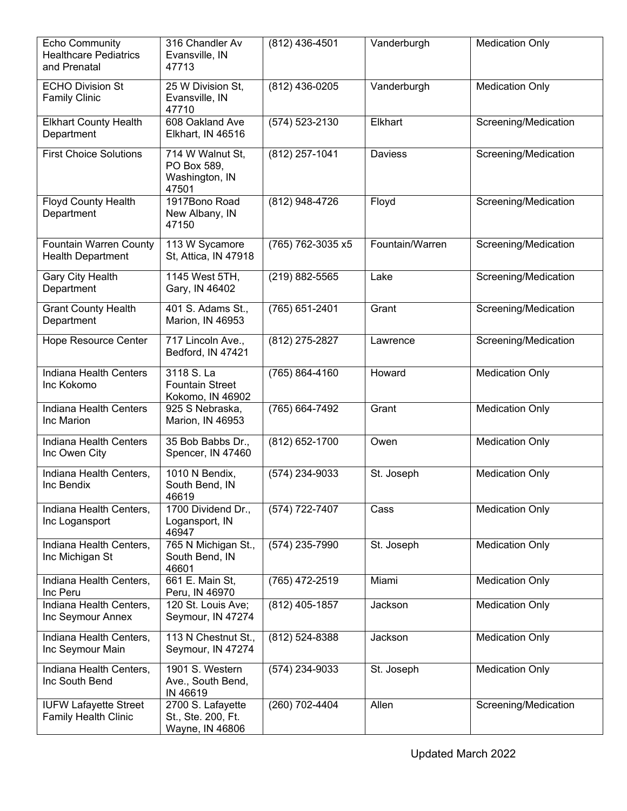| <b>Echo Community</b><br><b>Healthcare Pediatrics</b><br>and Prenatal | 316 Chandler Av<br>Evansville, IN<br>47713                 | (812) 436-4501    | Vanderburgh     | <b>Medication Only</b> |
|-----------------------------------------------------------------------|------------------------------------------------------------|-------------------|-----------------|------------------------|
| <b>ECHO Division St</b><br><b>Family Clinic</b>                       | 25 W Division St,<br>Evansville, IN<br>47710               | (812) 436-0205    | Vanderburgh     | <b>Medication Only</b> |
| <b>Elkhart County Health</b><br>Department                            | 608 Oakland Ave<br>Elkhart, IN 46516                       | (574) 523-2130    | Elkhart         | Screening/Medication   |
| <b>First Choice Solutions</b>                                         | 714 W Walnut St,<br>PO Box 589,<br>Washington, IN<br>47501 | (812) 257-1041    | Daviess         | Screening/Medication   |
| <b>Floyd County Health</b><br>Department                              | 1917Bono Road<br>New Albany, IN<br>47150                   | (812) 948-4726    | Floyd           | Screening/Medication   |
| <b>Fountain Warren County</b><br><b>Health Department</b>             | 113 W Sycamore<br>St. Attica, IN 47918                     | (765) 762-3035 x5 | Fountain/Warren | Screening/Medication   |
| <b>Gary City Health</b><br>Department                                 | 1145 West 5TH,<br>Gary, IN 46402                           | (219) 882-5565    | Lake            | Screening/Medication   |
| <b>Grant County Health</b><br>Department                              | 401 S. Adams St.,<br>Marion, IN 46953                      | (765) 651-2401    | Grant           | Screening/Medication   |
| Hope Resource Center                                                  | 717 Lincoln Ave.,<br>Bedford, IN 47421                     | $(812)$ 275-2827  | Lawrence        | Screening/Medication   |
| Indiana Health Centers<br>Inc Kokomo                                  | 3118 S. La<br><b>Fountain Street</b><br>Kokomo, IN 46902   | (765) 864-4160    | Howard          | <b>Medication Only</b> |
| <b>Indiana Health Centers</b><br>Inc Marion                           | 925 S Nebraska,<br>Marion, IN 46953                        | (765) 664-7492    | Grant           | <b>Medication Only</b> |
| Indiana Health Centers<br>Inc Owen City                               | 35 Bob Babbs Dr.,<br>Spencer, IN 47460                     | (812) 652-1700    | Owen            | <b>Medication Only</b> |
| Indiana Health Centers,<br>Inc Bendix                                 | 1010 N Bendix,<br>South Bend, IN<br>46619                  | (574) 234-9033    | St. Joseph      | <b>Medication Only</b> |
| Indiana Health Centers,<br>Inc Logansport                             | 1700 Dividend Dr.,<br>Logansport, IN<br>46947              | (574) 722-7407    | Cass            | <b>Medication Only</b> |
| Indiana Health Centers,<br>Inc Michigan St                            | 765 N Michigan St.,<br>South Bend, IN<br>46601             | (574) 235-7990    | St. Joseph      | <b>Medication Only</b> |
| Indiana Health Centers,<br>Inc Peru                                   | 661 E. Main St,<br>Peru, IN 46970                          | (765) 472-2519    | Miami           | <b>Medication Only</b> |
| Indiana Health Centers,<br>Inc Seymour Annex                          | 120 St. Louis Ave;<br>Seymour, IN 47274                    | (812) 405-1857    | Jackson         | <b>Medication Only</b> |
| Indiana Health Centers,<br>Inc Seymour Main                           | 113 N Chestnut St.,<br>Seymour, IN 47274                   | (812) 524-8388    | Jackson         | <b>Medication Only</b> |
| Indiana Health Centers,<br>Inc South Bend                             | 1901 S. Western<br>Ave., South Bend,<br>IN 46619           | (574) 234-9033    | St. Joseph      | <b>Medication Only</b> |
| <b>IUFW Lafayette Street</b><br><b>Family Health Clinic</b>           | 2700 S. Lafayette<br>St., Ste. 200, Ft.<br>Wayne, IN 46806 | (260) 702-4404    | Allen           | Screening/Medication   |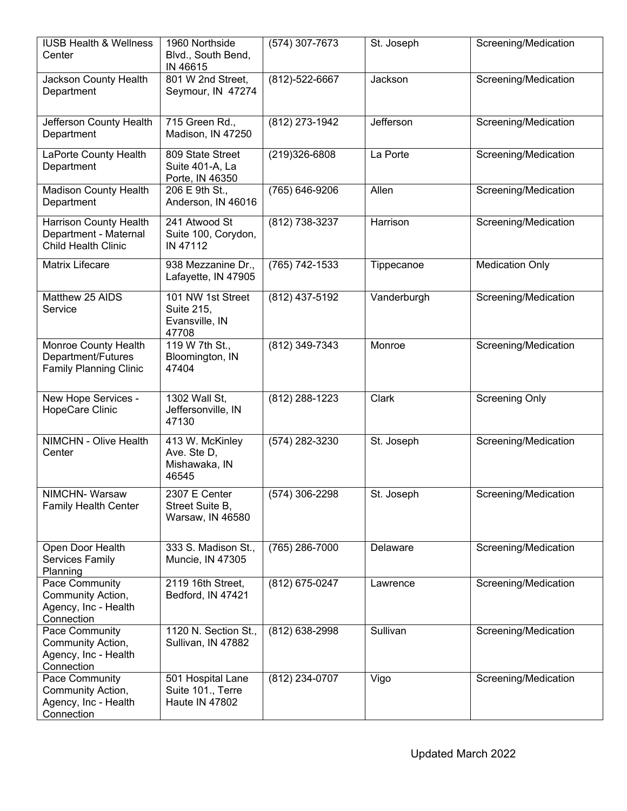| <b>IUSB Health &amp; Wellness</b><br>Center                                   | 1960 Northside<br>Blvd., South Bend,<br>IN 46615           | $(574)$ 307-7673     | St. Joseph  | Screening/Medication   |
|-------------------------------------------------------------------------------|------------------------------------------------------------|----------------------|-------------|------------------------|
| Jackson County Health<br>Department                                           | 801 W 2nd Street,<br>Seymour, IN 47274                     | $(812) - 522 - 6667$ | Jackson     | Screening/Medication   |
| Jefferson County Health<br>Department                                         | 715 Green Rd.,<br>Madison, IN 47250                        | (812) 273-1942       | Jefferson   | Screening/Medication   |
| LaPorte County Health<br>Department                                           | 809 State Street<br>Suite 401-A, La<br>Porte, IN 46350     | (219)326-6808        | La Porte    | Screening/Medication   |
| <b>Madison County Health</b><br>Department                                    | 206 E 9th St.,<br>Anderson, IN 46016                       | (765) 646-9206       | Allen       | Screening/Medication   |
| Harrison County Health<br>Department - Maternal<br><b>Child Health Clinic</b> | 241 Atwood St<br>Suite 100, Corydon,<br>IN 47112           | (812) 738-3237       | Harrison    | Screening/Medication   |
| Matrix Lifecare                                                               | 938 Mezzanine Dr.,<br>Lafayette, IN 47905                  | (765) 742-1533       | Tippecanoe  | <b>Medication Only</b> |
| Matthew 25 AIDS<br>Service                                                    | 101 NW 1st Street<br>Suite 215,<br>Evansville, IN<br>47708 | (812) 437-5192       | Vanderburgh | Screening/Medication   |
| Monroe County Health<br>Department/Futures<br><b>Family Planning Clinic</b>   | 119 W 7th St.,<br>Bloomington, IN<br>47404                 | (812) 349-7343       | Monroe      | Screening/Medication   |
| New Hope Services -<br>HopeCare Clinic                                        | 1302 Wall St,<br>Jeffersonville, IN<br>47130               | (812) 288-1223       | Clark       | <b>Screening Only</b>  |
| NIMCHN - Olive Health<br>Center                                               | 413 W. McKinley<br>Ave. Ste D,<br>Mishawaka, IN<br>46545   | (574) 282-3230       | St. Joseph  | Screening/Medication   |
| NIMCHN-Warsaw<br><b>Family Health Center</b>                                  | 2307 E Center<br>Street Suite B,<br>Warsaw, IN 46580       | (574) 306-2298       | St. Joseph  | Screening/Medication   |
| Open Door Health<br>Services Family<br>Planning                               | 333 S. Madison St.,<br>Muncie, IN 47305                    | (765) 286-7000       | Delaware    | Screening/Medication   |
| Pace Community<br>Community Action,<br>Agency, Inc - Health<br>Connection     | 2119 16th Street,<br>Bedford, IN 47421                     | (812) 675-0247       | Lawrence    | Screening/Medication   |
| Pace Community<br>Community Action,<br>Agency, Inc - Health<br>Connection     | 1120 N. Section St.,<br>Sullivan, IN 47882                 | (812) 638-2998       | Sullivan    | Screening/Medication   |
| Pace Community<br>Community Action,<br>Agency, Inc - Health<br>Connection     | 501 Hospital Lane<br>Suite 101., Terre<br>Haute IN 47802   | (812) 234-0707       | Vigo        | Screening/Medication   |